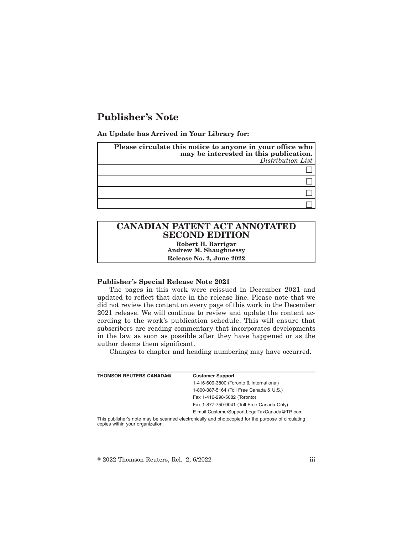## **Publisher's Note**

**An Update has Arrived in Your Library for:**

| Please circulate this notice to anyone in your office who<br>may be interested in this publication.<br>Distribution List |
|--------------------------------------------------------------------------------------------------------------------------|
|                                                                                                                          |
|                                                                                                                          |
|                                                                                                                          |
|                                                                                                                          |

# **CANADIAN PATENT ACT ANNOTATED SECOND EDITION**

**Robert H. Barrigar Andrew M. Shaughnessy Release No. 2, June 2022**

## **Publisher's Special Release Note 2021**

The pages in this work were reissued in December 2021 and updated to reflect that date in the release line. Please note that we did not review the content on every page of this work in the December 2021 release. We will continue to review and update the content according to the work's publication schedule. This will ensure that subscribers are reading commentary that incorporates developments in the law as soon as possible after they have happened or as the author deems them significant.

Changes to chapter and heading numbering may have occurred.

| <b>THOMSON REUTERS CANADA®</b>                                                                     | <b>Customer Support</b>                      |  |
|----------------------------------------------------------------------------------------------------|----------------------------------------------|--|
|                                                                                                    | 1-416-609-3800 (Toronto & International)     |  |
|                                                                                                    | 1-800-387-5164 (Toll Free Canada & U.S.)     |  |
|                                                                                                    | Fax 1-416-298-5082 (Toronto)                 |  |
|                                                                                                    | Fax 1-877-750-9041 (Toll Free Canada Only)   |  |
|                                                                                                    | E-mail CustomerSupport.LegalTaxCanada@TR.com |  |
| This publisher's note may be seepned electronically and photoeoniad for the purpose of circulating |                                              |  |

IIy and photocopied tor the purpose of circulating copies within your organization.

 $\textdegree$  2022 Thomson Reuters, Rel. 2, 6/2022 iii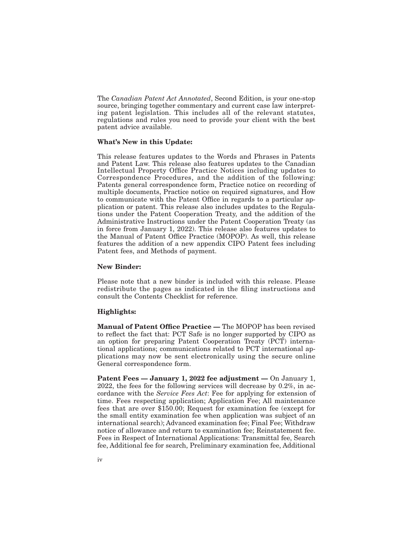The *Canadian Patent Act Annotated*, Second Edition, is your one-stop source, bringing together commentary and current case law interpreting patent legislation. This includes all of the relevant statutes, regulations and rules you need to provide your client with the best patent advice available.

#### **What's New in this Update:**

This release features updates to the Words and Phrases in Patents and Patent Law. This release also features updates to the Canadian Intellectual Property Office Practice Notices including updates to Correspondence Procedures, and the addition of the following: Patents general correspondence form, Practice notice on recording of multiple documents, Practice notice on required signatures, and How to communicate with the Patent Office in regards to a particular application or patent. This release also includes updates to the Regulations under the Patent Cooperation Treaty, and the addition of the Administrative Instructions under the Patent Cooperation Treaty (as in force from January 1, 2022). This release also features updates to the Manual of Patent Office Practice (MOPOP). As well, this release features the addition of a new appendix CIPO Patent fees including Patent fees, and Methods of payment.

#### **New Binder:**

Please note that a new binder is included with this release. Please redistribute the pages as indicated in the filing instructions and consult the Contents Checklist for reference.

### **Highlights:**

**Manual of Patent Office Practice —** The MOPOP has been revised to reflect the fact that: PCT Safe is no longer supported by CIPO as an option for preparing Patent Cooperation Treaty (PCT) international applications; communications related to PCT international applications may now be sent electronically using the secure online General correspondence form.

Patent Fees - January 1, 2022 fee adjustment - On January 1, 2022, the fees for the following services will decrease by 0.2%, in accordance with the *Service Fees Act*: Fee for applying for extension of time. Fees respecting application; Application Fee; All maintenance fees that are over \$150.00; Request for examination fee (except for the small entity examination fee when application was subject of an international search); Advanced examination fee; Final Fee; Withdraw notice of allowance and return to examination fee; Reinstatement fee. Fees in Respect of International Applications: Transmittal fee, Search fee, Additional fee for search, Preliminary examination fee, Additional